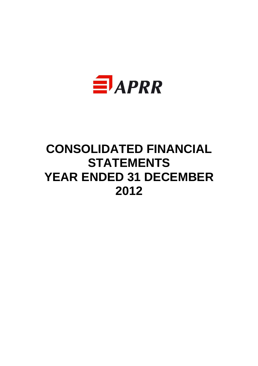

# **CONSOLIDATED FINANCIAL STATEMENTS YEAR ENDED 31 DECEMBER 2012**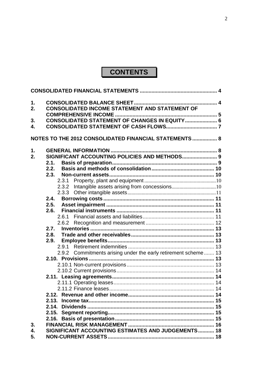# **CONTENTS**

| 1.<br>2. | <b>CONSOLIDATED INCOME STATEMENT AND STATEMENT OF</b>          |  |
|----------|----------------------------------------------------------------|--|
|          | <b>CONSOLIDATED STATEMENT OF CHANGES IN EQUITY  6</b>          |  |
| 3.<br>4. |                                                                |  |
|          |                                                                |  |
|          | NOTES TO THE 2012 CONSOLIDATED FINANCIAL STATEMENTS 8          |  |
| 1.       |                                                                |  |
| 2.       | SIGNIFICANT ACCOUNTING POLICIES AND METHODS 9                  |  |
|          | 2.1.                                                           |  |
|          | 2.2.                                                           |  |
|          | 2.3.                                                           |  |
|          |                                                                |  |
|          | 2.3.2 Intangible assets arising from concessions10             |  |
|          |                                                                |  |
|          | 2.4.                                                           |  |
|          | 2.5.                                                           |  |
|          | 2.6.                                                           |  |
|          |                                                                |  |
|          |                                                                |  |
|          | 2.7.                                                           |  |
|          | 2.8.                                                           |  |
|          | 2.9.                                                           |  |
|          |                                                                |  |
|          | 2.9.2 Commitments arising under the early retirement scheme 13 |  |
|          |                                                                |  |
|          |                                                                |  |
|          |                                                                |  |
|          |                                                                |  |
|          |                                                                |  |
|          |                                                                |  |
|          |                                                                |  |
|          |                                                                |  |
|          |                                                                |  |
|          |                                                                |  |
| 3.       |                                                                |  |
| 4.       | SIGNIFICANT ACCOUNTING ESTIMATES AND JUDGEMENTS 18             |  |
| 5.       |                                                                |  |
|          |                                                                |  |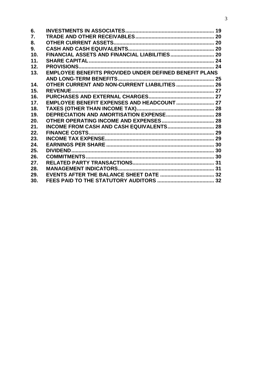| 6.  |                                                               |  |
|-----|---------------------------------------------------------------|--|
| 7.  |                                                               |  |
| 8.  |                                                               |  |
| 9.  |                                                               |  |
| 10. |                                                               |  |
| 11. |                                                               |  |
| 12. |                                                               |  |
| 13. | <b>EMPLOYEE BENEFITS PROVIDED UNDER DEFINED BENEFIT PLANS</b> |  |
|     |                                                               |  |
| 14. | OTHER CURRENT AND NON-CURRENT LIABILITIES  26                 |  |
| 15. |                                                               |  |
| 16. |                                                               |  |
| 17. |                                                               |  |
| 18. |                                                               |  |
| 19. |                                                               |  |
| 20. |                                                               |  |
| 21. |                                                               |  |
| 22. |                                                               |  |
| 23. |                                                               |  |
| 24. |                                                               |  |
| 25. |                                                               |  |
| 26. |                                                               |  |
| 27. |                                                               |  |
| 28. |                                                               |  |
| 29. |                                                               |  |
| 30. |                                                               |  |
|     |                                                               |  |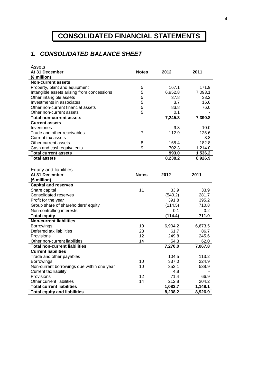# **CONSOLIDATED FINANCIAL STATEMENTS**

# **1. CONSOLIDATED BALANCE SHEET**

| Assets                                     |                |                      |         |
|--------------------------------------------|----------------|----------------------|---------|
| At 31 December                             | <b>Notes</b>   | 2012                 | 2011    |
| (€ million)                                |                |                      |         |
| <b>Non-current assets</b>                  |                |                      |         |
| Property, plant and equipment              | 5              | 167.1                | 171.9   |
| Intangible assets arising from concessions | 5              | 6,952.8              | 7,093.1 |
| Other intangible assets                    | 5              | 37.8                 | 33.2    |
| Investments in associates                  | 5              | 3.7                  | 16.6    |
| Other non-current financial assets         | 5              | 83.8                 | 76.0    |
| Other non-current assets                   | 5              | 0.1                  |         |
| <b>Total non-current assets</b>            |                | $\overline{7,}245.3$ | 7,390.8 |
| <b>Current assets</b>                      |                |                      |         |
| Inventories                                |                | 9.3                  | 10.0    |
| Trade and other receivables                | $\overline{7}$ | 112.9                | 125.6   |
| Current tax assets                         |                |                      | 3.8     |
| Other current assets                       | 8              | 168.4                | 182.8   |
| Cash and cash equivalents                  | 9              | 702.3                | 1,214.0 |
| <b>Total current assets</b>                |                | 993.0                | 1,536.2 |
| <b>Total assets</b>                        |                | 8,238.2              | 8,926.9 |
|                                            |                |                      |         |
| Equity and liabilities                     |                |                      |         |
| At 31 December                             | <b>Notes</b>   | 2012                 | 2011    |
| (€ million)                                |                |                      |         |
| <b>Capital and reserves</b>                |                |                      |         |
| Share capital                              | 11             | 33.9                 | 33.9    |
| <b>Consolidated reserves</b>               |                | (540.2)              | 281.7   |
| Profit for the year                        |                | 391.8                | 395.2   |
| Group share of shareholders' equity        |                | (114.5)              | 710.8   |
| Non-controlling interests                  |                | 0.1                  | 0.2     |
| <b>Total equity</b>                        |                | (114.4)              | 711.0   |
| <b>Non-current liabilities</b>             |                |                      |         |
| <b>Borrowings</b>                          | 10             | 6,904.2              | 6,673.5 |
| Deferred tax liabilities                   | 23             | 61.7                 | 86.7    |
| Provisions                                 | 12             | 249.8                | 245.6   |
| Other non-current liabilities              | 14             | 54.3                 | 62.0    |
| <b>Total non-current liabilities</b>       |                | 7,270.0              | 7,067.8 |
| <b>Current liabilities</b>                 |                |                      |         |
| Trade and other payables                   |                | 104.5                | 113.2   |
| <b>Borrowings</b>                          | 10             | 337.0                | 224.9   |
| Non-current borrowings due within one year | 10             | 352.1                | 538.9   |
| Current tax liability                      |                | 4.8                  |         |
| Provisions                                 | 12             | 71.4                 | 66.9    |
| Other current liabilities                  | 14             | 212.8                | 204.2   |
|                                            |                |                      |         |
| <b>Total current liabilities</b>           |                | 1,082.7              | 1,148.1 |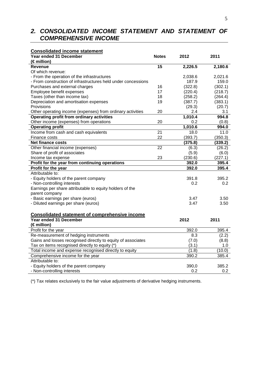# **2. CONSOLIDATED INCOME STATEMENT AND STATEMENT OF COMPREHENSIVE INCOME**

| <b>Consolidated income statement</b>                          |                 |         |         |
|---------------------------------------------------------------|-----------------|---------|---------|
| Year ended 31 December                                        | <b>Notes</b>    | 2012    | 2011    |
| $(\epsilon$ million)                                          |                 |         |         |
| <b>Revenue</b>                                                | 15              | 2,226.5 | 2,180.6 |
| Of which revenue:                                             |                 |         |         |
| - From the operation of the infrastructures                   |                 | 2,038.6 | 2,021.6 |
| - From construction of infrastructures held under concessions |                 | 187.9   | 159.0   |
| Purchases and external charges                                | 16              | (322.8) | (302.1) |
| Employee benefit expenses                                     | 17              | (220.4) | (218.7) |
| Taxes (other than income tax)                                 | 18              | (258.2) | (264.4) |
| Depreciation and amortisation expenses                        | 19              | (387.7) | (383.1) |
| Provisions                                                    |                 | (29.3)  | (20.7)  |
| Other operating income (expenses) from ordinary activities    | 20              | 2.4     | 3.1     |
| <b>Operating profit from ordinary activities</b>              |                 | 1,010.4 | 994.8   |
| Other income (expenses) from operations                       | 20              | 0.2     | (0.8)   |
| <b>Operating profit</b>                                       |                 | 1,010.6 | 994.0   |
| Income from cash and cash equivalents                         | 21              | 18.0    | 11.0    |
| Finance costs                                                 | 22              | (393.7) | (350.3) |
| <b>Net finance costs</b>                                      |                 | (375.8) | (339.2) |
| Other financial income (expenses)                             | $\overline{22}$ | (6.3)   | (26.2)  |
| Share of profit of associates                                 |                 | (5.9)   | (6.0)   |
| Income tax expense                                            | 23              | (230.6) | (227.1) |
| Profit for the year from continuing operations                |                 | 392.0   | 395.4   |
| Profit for the year                                           |                 | 392.0   | 395.4   |
| Attributable to:                                              |                 |         |         |
| - Equity holders of the parent company                        |                 | 391.8   | 395.2   |
| - Non-controlling interests                                   |                 | 0.2     | 0.2     |
| Earnings per share attributable to equity holders of the      |                 |         |         |
| parent company                                                |                 |         |         |
| - Basic earnings per share (euros)                            |                 | 3.47    | 3.50    |
| - Diluted earnings per share (euros)                          |                 | 3.47    | 3.50    |
|                                                               |                 |         |         |
| <b>Consolidated statement of comprehensive income</b>         |                 |         |         |
| Year ended 31 December                                        |                 | 2012    | 2011    |
| (€ million)                                                   |                 |         |         |
| Profit for the year                                           |                 | 392.0   | 395.4   |
| Re-measurement of hedging instruments                         |                 | 8.3     | (2.2)   |
| Gains and losses recognised directly to equity of associates  |                 | (7.0)   | (8.8)   |
| Tax on items recognised directly to equity (*)                |                 | (3.1)   | 1.0     |
| Total income and expense recognised directly to equity        |                 | (1.8)   | (10.0)  |
| Comprehensive income for the year                             |                 | 390.2   | 385.4   |
| Attributable to:                                              |                 |         |         |
| - Equity holders of the parent company                        |                 | 390,0   | 385.2   |
| - Non-controlling interests                                   |                 | 0.2     | 0.2     |

(\*) Tax relates exclusively to the fair value adjustments of derivative hedging instruments.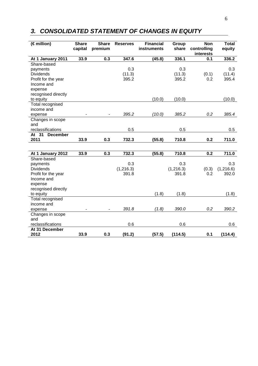# **3. CONSOLIDATED STATEMENT OF CHANGES IN EQUITY**

| $\overline{\epsilon}$ million) | <b>Share</b><br>capital | <b>Share</b><br>premium | <b>Reserves</b> | <b>Financial</b><br>instruments | Group<br>share | <b>Non</b><br>controlling<br>interests | <b>Total</b><br>equity |
|--------------------------------|-------------------------|-------------------------|-----------------|---------------------------------|----------------|----------------------------------------|------------------------|
| At 1 January 2011              | 33.9                    | 0.3                     | 347.6           | (45.8)                          | 336.1          | 0.1                                    | 336.2                  |
| Share-based                    |                         |                         |                 |                                 |                |                                        |                        |
| payments                       |                         |                         | 0.3             |                                 | 0.3            |                                        | 0.3                    |
| <b>Dividends</b>               |                         |                         | (11.3)          |                                 | (11.3)         | (0.1)                                  | (11.4)                 |
| Profit for the year            |                         |                         | 395.2           |                                 | 395.2          | 0.2                                    | 395.4                  |
| Income and                     |                         |                         |                 |                                 |                |                                        |                        |
| expense                        |                         |                         |                 |                                 |                |                                        |                        |
| recognised directly            |                         |                         |                 |                                 |                |                                        |                        |
| to equity                      |                         |                         |                 | (10.0)                          | (10.0)         |                                        | (10.0)                 |
| Total recognised               |                         |                         |                 |                                 |                |                                        |                        |
| income and                     |                         |                         |                 |                                 |                |                                        |                        |
| expense                        |                         |                         | 395.2           | (10.0)                          | 385.2          | 0.2                                    | 385.4                  |
| Changes in scope               |                         |                         |                 |                                 |                |                                        |                        |
| and                            |                         |                         |                 |                                 |                |                                        |                        |
| reclassifications<br>At 31     |                         |                         | 0.5             |                                 | 0.5            |                                        | 0.5                    |
| <b>December</b><br>2011        | 33.9                    | 0.3                     | 732.3           | (55.8)                          | 710.8          | 0.2                                    | 711.0                  |
|                                |                         |                         |                 |                                 |                |                                        |                        |
|                                |                         |                         |                 |                                 |                |                                        |                        |
| At 1 January 2012              | 33.9                    | 0.3                     | 732.3           | (55.8)                          | 710.8          | 0.2                                    | 711.0                  |
| Share-based                    |                         |                         |                 |                                 |                |                                        |                        |
| payments                       |                         |                         | 0.3             |                                 | 0.3            |                                        | 0.3                    |
| <b>Dividends</b>               |                         |                         | (1, 216.3)      |                                 | (1, 216.3)     | (0.3)                                  | (1,216.6)              |
| Profit for the year            |                         |                         | 391.8           |                                 | 391.8          | 0.2                                    | 392.0                  |
| Income and                     |                         |                         |                 |                                 |                |                                        |                        |
| expense                        |                         |                         |                 |                                 |                |                                        |                        |
| recognised directly            |                         |                         |                 |                                 |                |                                        |                        |
| to equity                      |                         |                         |                 | (1.8)                           | (1.8)          |                                        | (1.8)                  |
| <b>Total recognised</b>        |                         |                         |                 |                                 |                |                                        |                        |
| income and                     |                         |                         |                 |                                 |                |                                        |                        |
| expense                        |                         |                         | 391.8           | (1.8)                           | 390.0          | 0.2                                    | 390.2                  |
| Changes in scope               |                         |                         |                 |                                 |                |                                        |                        |
| and                            |                         |                         |                 |                                 |                |                                        |                        |
| reclassifications              |                         |                         | 0.6             |                                 | 0.6            |                                        | 0.6                    |
| At 31 December                 |                         |                         |                 |                                 |                |                                        |                        |
| 2012                           | 33.9                    | 0.3                     | (91.2)          | (57.5)                          | (114.5)        | 0.1                                    | (114.4)                |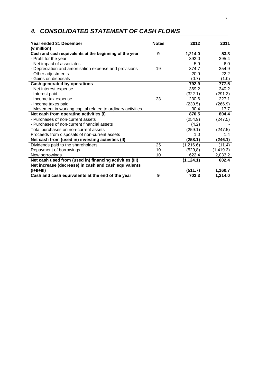# **4. CONSOLIDATED STATEMENT OF CASH FLOWS**

| Year ended 31 December<br>$(\in$ million)                    | <b>Notes</b> | 2012       | 2011       |
|--------------------------------------------------------------|--------------|------------|------------|
| Cash and cash equivalents at the beginning of the year       | 9            | 1,214.0    | 53.3       |
| - Profit for the year                                        |              | 392.0      | 395.4      |
| - Net impact of associates                                   |              | 5.9        | 6.0        |
| - Depreciation and amortisation expense and provisions       | 19           | 374.7      | 354.9      |
| - Other adjustments                                          |              | 20.9       | 22.2       |
| - Gains on disposals                                         |              | (0.7)      | (1.0)      |
| <b>Cash generated by operations</b>                          |              | 792.9      | 777.5      |
| - Net interest expense                                       |              | 369.2      | 340.2      |
| - Interest paid                                              |              | (322.1)    | (291.3)    |
| - Income tax expense                                         | 23           | 230.6      | 227.1      |
| - Income taxes paid                                          |              | (230.5)    | (266.9)    |
| - Movement in working capital related to ordinary activities |              | 30.4       | 17.7       |
| Net cash from operating activities (I)                       |              | 870.5      | 804.4      |
| - Purchases of non-current assets                            |              | (254.9)    | (247.5)    |
| - Purchases of non-current financial assets                  |              | (4.2)      |            |
| Total purchases on non-current assets                        |              | (259.1)    | (247.5)    |
| Proceeds from disposals of non-current assets                |              | 1.0        | 1.4        |
| Net cash from (used in) investing activities (II)            |              | (258.1)    | (246.1)    |
| Dividends paid to the shareholders                           | 25           | (1,216.6)  | (11.4)     |
| Repayment of borrowings                                      | 10           | (529, 8)   | (1, 419.3) |
| New borrowings                                               | 10           | 622.4      | 2,033.2    |
| Net cash used from (used in) financing activities (III)      |              | (1, 124.1) | 602.4      |
| Net increase (decrease) in cash and cash equivalents         |              |            |            |
| $(I+II+III)$                                                 |              | (511.7)    | 1,160.7    |
| Cash and cash equivalents at the end of the year             | 9            | 702.3      | 1,214.0    |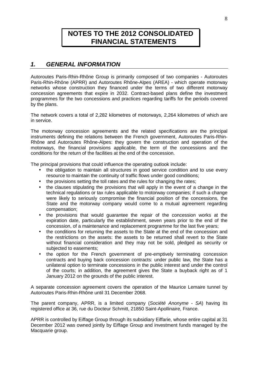# **NOTES TO THE 2012 CONSOLIDATED FINANCIAL STATEMENTS**

# **1. GENERAL INFORMATION**

Autoroutes Paris-Rhin-Rhône Group is primarily composed of two companies - Autoroutes Paris-Rhin-Rhône (APRR) and Autoroutes Rhône-Alpes (AREA) - which operate motorway networks whose construction they financed under the terms of two different motorway concession agreements that expire in 2032. Contract-based plans define the investment programmes for the two concessions and practices regarding tariffs for the periods covered by the plans.

The network covers a total of 2,282 kilometres of motorways, 2,264 kilometres of which are in service.

The motorway concession agreements and the related specifications are the principal instruments defining the relations between the French government, Autoroutes Paris-Rhin-Rhône and Autoroutes Rhône-Alpes: they govern the construction and operation of the motorways, the financial provisions applicable, the term of the concessions and the conditions for the return of the facilities at the end of the concession.

The principal provisions that could influence the operating outlook include:

- the obligation to maintain all structures in good service condition and to use every resource to maintain the continuity of traffic flows under good conditions;
- the provisions setting the toll rates and the rules for changing the rates;
- the clauses stipulating the provisions that will apply in the event of a change in the technical regulations or tax rules applicable to motorway companies; if such a change were likely to seriously compromise the financial position of the concessions, the State and the motorway company would come to a mutual agreement regarding compensation;
- the provisions that would guarantee the repair of the concession works at the expiration date, particularly the establishment, seven years prior to the end of the concession, of a maintenance and replacement programme for the last five years;
- the conditions for returning the assets to the State at the end of the concession and the restrictions on the assets: the assets to be returned shall revert to the State without financial consideration and they may not be sold, pledged as security or subjected to easements;
- the option for the French government of pre-emptively terminating concession contracts and buying back concession contracts: under public law, the State has a unilateral option to terminate concessions in the public interest and under the control of the courts; in addition, the agreement gives the State a buyback right as of 1 January 2012 on the grounds of the public interest.

A separate concession agreement covers the operation of the Maurice Lemaire tunnel by Autoroutes Paris-Rhin-Rhône until 31 December 2068.

The parent company, APRR, is a limited company (Société Anonyme - SA) having its registered office at 36, rue du Docteur Schmitt, 21850 Saint-Apollinaire, France.

APRR is controlled by Eiffage Group through its subsidiary Eiffarie, whose entire capital at 31 December 2012 was owned jointly by Eiffage Group and investment funds managed by the Macquarie group.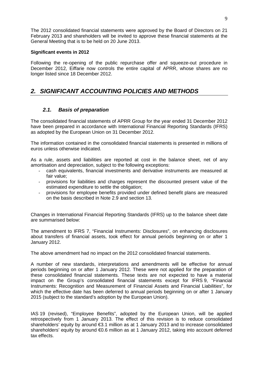The 2012 consolidated financial statements were approved by the Board of Directors on 21 February 2013 and shareholders will be invited to approve these financial statements at the General Meeting that is to be held on 20 June 2013.

#### **Significant events in 2012**

Following the re-opening of the public repurchase offer and squeeze-out procedure in December 2012, Eiffarie now controls the entire capital of APRR, whose shares are no longer listed since 18 December 2012.

# **2. SIGNIFICANT ACCOUNTING POLICIES AND METHODS**

### **2.1. Basis of preparation**

The consolidated financial statements of APRR Group for the year ended 31 December 2012 have been prepared in accordance with International Financial Reporting Standards (IFRS) as adopted by the European Union on 31 December 2012.

The information contained in the consolidated financial statements is presented in millions of euros unless otherwise indicated.

As a rule, assets and liabilities are reported at cost in the balance sheet, net of any amortisation and depreciation, subject to the following exceptions:

- cash equivalents, financial investments and derivative instruments are measured at fair value;
- provisions for liabilities and charges represent the discounted present value of the estimated expenditure to settle the obligation;
- provisions for employee benefits provided under defined benefit plans are measured on the basis described in Note 2.9 and section 13.

Changes in International Financial Reporting Standards (IFRS) up to the balance sheet date are summarised below:

The amendment to IFRS 7, "Financial Instruments: Disclosures", on enhancing disclosures about transfers of financial assets, took effect for annual periods beginning on or after 1 January 2012.

The above amendment had no impact on the 2012 consolidated financial statements.

A number of new standards, interpretations and amendments will be effective for annual periods beginning on or after 1 January 2012. These were not applied for the preparation of these consolidated financial statements. These texts are not expected to have a material impact on the Group's consolidated financial statements except for IFRS 9, "Financial Instruments: Recognition and Measurement of Financial Assets and Financial Liabilities", for which the effective date has been deferred to annual periods beginning on or after 1 January 2015 (subject to the standard's adoption by the European Union).

IAS 19 (revised), "Employee Benefits", adopted by the European Union, will be applied retrospectively from 1 January 2013. The effect of this revision is to reduce consolidated shareholders' equity by around €3.1 million as at 1 January 2013 and to increase consolidated shareholders' equity by around €0.6 million as at 1 January 2012, taking into account deferred tax effects.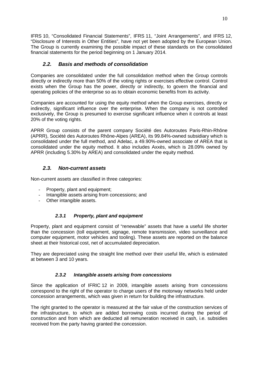IFRS 10, "Consolidated Financial Statements", IFRS 11, "Joint Arrangements", and IFRS 12, "Disclosure of Interests in Other Entities", have not yet been adopted by the European Union. The Group is currently examining the possible impact of these standards on the consolidated financial statements for the period beginning on 1 January 2014.

### **2.2. Basis and methods of consolidation**

Companies are consolidated under the full consolidation method when the Group controls directly or indirectly more than 50% of the voting rights or exercises effective control. Control exists when the Group has the power, directly or indirectly, to govern the financial and operating policies of the enterprise so as to obtain economic benefits from its activity.

Companies are accounted for using the equity method when the Group exercises, directly or indirectly, significant influence over the enterprise. When the company is not controlled exclusively, the Group is presumed to exercise significant influence when it controls at least 20% of the voting rights.

APRR Group consists of the parent company Société des Autoroutes Paris-Rhin-Rhône (APRR), Société des Autoroutes Rhône-Alpes (AREA), its 99.84%-owned subsidiary which is consolidated under the full method, and Adelac, a 49.90%-owned associate of AREA that is consolidated under the equity method. It also includes Axxès, which is 28.09% owned by APRR (including 5.30% by AREA) and consolidated under the equity method.

### **2.3. Non-current assets**

Non-current assets are classified in three categories:

- Property, plant and equipment;
- Intangible assets arising from concessions; and
- Other intangible assets.

### **2.3.1 Property, plant and equipment**

Property, plant and equipment consist of "renewable" assets that have a useful life shorter than the concession (toll equipment, signage, remote transmission, video surveillance and computer equipment, motor vehicles and tooling). These assets are reported on the balance sheet at their historical cost, net of accumulated depreciation.

They are depreciated using the straight line method over their useful life, which is estimated at between 3 and 10 years.

### **2.3.2 Intangible assets arising from concessions**

Since the application of IFRIC 12 in 2009, intangible assets arising from concessions correspond to the right of the operator to charge users of the motorway networks held under concession arrangements, which was given in return for building the infrastructure.

The right granted to the operator is measured at the fair value of the construction services of the infrastructure, to which are added borrowing costs incurred during the period of construction and from which are deducted all remuneration received in cash, i.e. subsidies received from the party having granted the concession.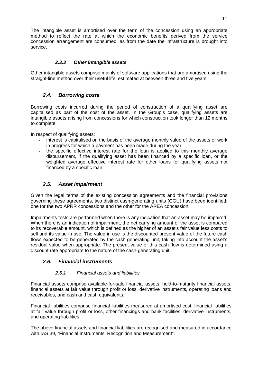The intangible asset is amortised over the term of the concession using an appropriate method to reflect the rate at which the economic benefits derived from the service concession arrangement are consumed, as from the date the infrastructure is brought into service.

### **2.3.3 Other intangible assets**

Other intangible assets comprise mainly of software applications that are amortised using the straight-line method over their useful life, estimated at between three and five years.

### **2.4. Borrowing costs**

Borrowing costs incurred during the period of construction of a qualifying asset are capitalised as part of the cost of the asset. In the Group's case, qualifying assets are intangible assets arising from concessions for which construction took longer than 12 months to complete.

In respect of qualifying assets:

- interest is capitalised on the basis of the average monthly value of the assets or work in progress for which a payment has been made during the year;
- the specific effective interest rate for the loan is applied to this monthly average disbursement, if the qualifying asset has been financed by a specific loan, or the weighted average effective interest rate for other loans for qualifying assets not financed by a specific loan.

### **2.5. Asset impairment**

Given the legal terms of the existing concession agreements and the financial provisions governing these agreements, two distinct cash-generating units (CGU) have been identified: one for the two APRR concessions and the other for the AREA concession.

Impairments tests are performed when there is any indication that an asset may be impaired. When there is an indication of impairment, the net carrying amount of the asset is compared to its recoverable amount, which is defined as the higher of an asset's fair value less costs to sell and its value in use. The value in use is the discounted present value of the future cash flows expected to be generated by the cash-generating unit, taking into account the asset's residual value when appropriate. The present value of this cash flow is determined using a discount rate appropriate to the nature of the cash-generating unit.

### **2.6. Financial instruments**

### 2.6.1 Financial assets and liabilities

Financial assets comprise available-for-sale financial assets, held-to-maturity financial assets, financial assets at fair value through profit or loss, derivative instruments, operating loans and receivables, and cash and cash equivalents.

Financial liabilities comprise financial liabilities measured at amortised cost, financial liabilities at fair value through profit or loss, other financings and bank facilities, derivative instruments, and operating liabilities.

The above financial assets and financial liabilities are recognised and measured in accordance with IAS 39, "Financial Instruments: Recognition and Measurement".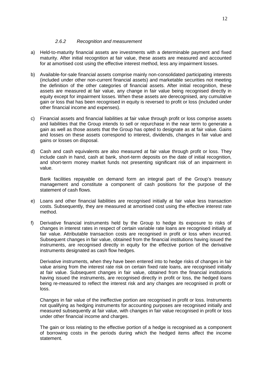#### 2.6.2 Recognition and measurement

- a) Held-to-maturity financial assets are investments with a determinable payment and fixed maturity. After initial recognition at fair value, these assets are measured and accounted for at amortised cost using the effective interest method, less any impairment losses.
- b) Available-for-sale financial assets comprise mainly non-consolidated participating interests (included under other non-current financial assets) and marketable securities not meeting the definition of the other categories of financial assets. After initial recognition, these assets are measured at fair value, any change in fair value being recognised directly in equity except for impairment losses. When these assets are derecognised, any cumulative gain or loss that has been recognised in equity is reversed to profit or loss (included under other financial income and expenses).
- c) Financial assets and financial liabilities at fair value through profit or loss comprise assets and liabilities that the Group intends to sell or repurchase in the near term to generate a gain as well as those assets that the Group has opted to designate as at fair value. Gains and losses on these assets correspond to interest, dividends, changes in fair value and gains or losses on disposal.
- d) Cash and cash equivalents are also measured at fair value through profit or loss. They include cash in hand, cash at bank, short-term deposits on the date of initial recognition, and short-term money market funds not presenting significant risk of an impairment in value.

 Bank facilities repayable on demand form an integral part of the Group's treasury management and constitute a component of cash positions for the purpose of the statement of cash flows.

- e) Loans and other financial liabilities are recognised initially at fair value less transaction costs. Subsequently, they are measured at amortised cost using the effective interest rate method.
- f) Derivative financial instruments held by the Group to hedge its exposure to risks of changes in interest rates in respect of certain variable rate loans are recognised initially at fair value. Attributable transaction costs are recognised in profit or loss when incurred. Subsequent changes in fair value, obtained from the financial institutions having issued the instruments, are recognised directly in equity for the effective portion of the derivative instruments designated as cash flow hedges.

Derivative instruments, when they have been entered into to hedge risks of changes in fair value arising from the interest rate risk on certain fixed rate loans, are recognised initially at fair value. Subsequent changes in fair value, obtained from the financial institutions having issued the instruments, are recognised directly in profit or loss, the hedged loans being re-measured to reflect the interest risk and any changes are recognised in profit or loss.

Changes in fair value of the ineffective portion are recognised in profit or loss. Instruments not qualifying as hedging instruments for accounting purposes are recognised initially and measured subsequently at fair value, with changes in fair value recognised in profit or loss under other financial income and charges.

The gain or loss relating to the effective portion of a hedge is recognised as a component of borrowing costs in the periods during which the hedged items affect the income statement.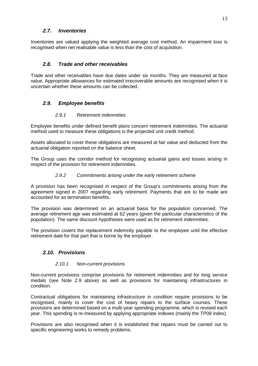### **2.7. Inventories**

Inventories are valued applying the weighted average cost method. An impairment loss is recognised when net realisable value is less than the cost of acquisition.

### **2.8. Trade and other receivables**

Trade and other receivables have due dates under six months. They are measured at face value. Appropriate allowances for estimated irrecoverable amounts are recognised when it is uncertain whether these amounts can be collected.

### **2.9. Employee benefits**

### 2.9.1 Retirement indemnities

Employee benefits under defined benefit plans concern retirement indemnities. The actuarial method used to measure these obligations is the projected unit credit method.

Assets allocated to cover these obligations are measured at fair value and deducted from the actuarial obligation reported on the balance sheet.

The Group uses the corridor method for recognising actuarial gains and losses arising in respect of the provision for retirement indemnities.

#### 2.9.2 Commitments arising under the early retirement scheme

A provision has been recognised in respect of the Group's commitments arising from the agreement signed in 2007 regarding early retirement. Payments that are to be made are accounted for as termination benefits.

The provision was determined on an actuarial basis for the population concerned. The average retirement age was estimated at 62 years (given the particular characteristics of the population). The same discount hypotheses were used as for retirement indemnities.

The provision covers the replacement indemnity payable to the employee until the effective retirement date for that part that is borne by the employer.

### **2.10. Provisions**

### 2.10.1 Non-current provisions

Non-current provisions comprise provisions for retirement indemnities and for long service medals (see Note 2.9 above) as well as provisions for maintaining infrastructures in condition.

Contractual obligations for maintaining infrastructure in condition require provisions to be recognised, mainly to cover the cost of heavy repairs to the surface courses. These provisions are determined based on a multi-year spending programme, which is revised each year. This spending is re-measured by applying appropriate indexes (mainly the TP09 index).

Provisions are also recognised when it is established that repairs must be carried out to specific engineering works to remedy problems.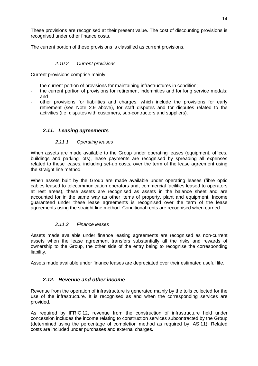These provisions are recognised at their present value. The cost of discounting provisions is recognised under other finance costs.

The current portion of these provisions is classified as current provisions.

### 2.10.2 Current provisions

Current provisions comprise mainly:

- the current portion of provisions for maintaining infrastructures in condition;
- the current portion of provisions for retirement indemnities and for long service medals; and
- other provisions for liabilities and charges, which include the provisions for early retirement (see Note 2.9 above), for staff disputes and for disputes related to the activities (i.e. disputes with customers, sub-contractors and suppliers).

### **2.11. Leasing agreements**

### 2.11.1 Operating leases

When assets are made available to the Group under operating leases (equipment, offices, buildings and parking lots), lease payments are recognised by spreading all expenses related to these leases, including set-up costs, over the term of the lease agreement using the straight line method.

When assets built by the Group are made available under operating leases (fibre optic cables leased to telecommunication operators and, commercial facilities leased to operators at rest areas), these assets are recognised as assets in the balance sheet and are accounted for in the same way as other items of property, plant and equipment. Income guaranteed under these lease agreements is recognised over the term of the lease agreements using the straight line method. Conditional rents are recognised when earned.

### 2.11.2 Finance leases

Assets made available under finance leasing agreements are recognised as non-current assets when the lease agreement transfers substantially all the risks and rewards of ownership to the Group, the other side of the entry being to recognise the corresponding liability.

Assets made available under finance leases are depreciated over their estimated useful life.

### **2.12. Revenue and other income**

Revenue from the operation of infrastructure is generated mainly by the tolls collected for the use of the infrastructure. It is recognised as and when the corresponding services are provided.

As required by IFRIC 12, revenue from the construction of infrastructure held under concession includes the income relating to construction services subcontracted by the Group (determined using the percentage of completion method as required by IAS 11). Related costs are included under purchases and external charges.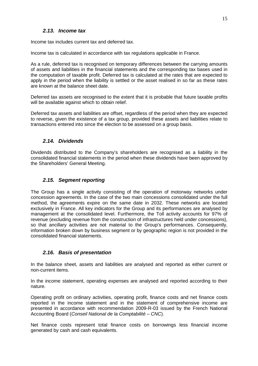### **2.13. Income tax**

Income tax includes current tax and deferred tax.

Income tax is calculated in accordance with tax regulations applicable in France.

As a rule, deferred tax is recognised on temporary differences between the carrying amounts of assets and liabilities in the financial statements and the corresponding tax bases used in the computation of taxable profit. Deferred tax is calculated at the rates that are expected to apply in the period when the liability is settled or the asset realised in so far as these rates are known at the balance sheet date.

Deferred tax assets are recognised to the extent that it is probable that future taxable profits will be available against which to obtain relief.

Deferred tax assets and liabilities are offset, regardless of the period when they are expected to reverse, given the existence of a tax group, provided these assets and liabilities relate to transactions entered into since the election to be assessed on a group basis.

### **2.14. Dividends**

Dividends distributed to the Company's shareholders are recognised as a liability in the consolidated financial statements in the period when these dividends have been approved by the Shareholders' General Meeting.

### **2.15. Segment reporting**

The Group has a single activity consisting of the operation of motorway networks under concession agreements. In the case of the two main concessions consolidated under the full method, the agreements expire on the same date in 2032. These networks are located exclusively in France. All key indicators for the Group and its performances are analysed by management at the consolidated level. Furthermore, the Toll activity accounts for 97% of revenue (excluding revenue from the construction of infrastructures held under concessions), so that ancillary activities are not material to the Group's performances. Consequently, information broken down by business segment or by geographic region is not provided in the consolidated financial statements.

### **2.16. Basis of presentation**

In the balance sheet, assets and liabilities are analysed and reported as either current or non-current items.

In the income statement, operating expenses are analysed and reported according to their nature.

Operating profit on ordinary activities, operating profit, finance costs and net finance costs reported in the income statement and in the statement of comprehensive income are presented in accordance with recommendation 2009-R-03 issued by the French National Accounting Board (Conseil National de la Comptabilité – CNC).

Net finance costs represent total finance costs on borrowings less financial income generated by cash and cash equivalents.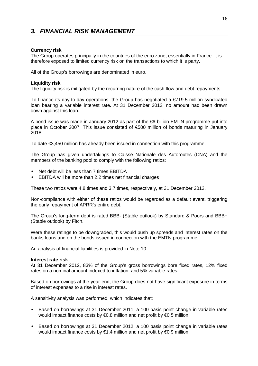# **3. FINANCIAL RISK MANAGEMENT**

#### **Currency risk**

The Group operates principally in the countries of the euro zone, essentially in France. It is therefore exposed to limited currency risk on the transactions to which it is party.

All of the Group's borrowings are denominated in euro.

#### **Liquidity risk**

The liquidity risk is mitigated by the recurring nature of the cash flow and debt repayments.

To finance its day-to-day operations, the Group has negotiated a  $\epsilon$ 719.5 million syndicated loan bearing a variable interest rate. At 31 December 2012, no amount had been drawn down against this loan.

A bond issue was made in January 2012 as part of the  $\epsilon$ 6 billion EMTN programme put into place in October 2007. This issue consisted of €500 million of bonds maturing in January 2018.

To date €3,450 million has already been issued in connection with this programme.

The Group has given undertakings to Caisse Nationale des Autoroutes (CNA) and the members of the banking pool to comply with the following ratios:

- Net debt will be less than 7 times EBITDA
- EBITDA will be more than 2.2 times net financial charges

These two ratios were 4.8 times and 3.7 times, respectively, at 31 December 2012.

Non-compliance with either of these ratios would be regarded as a default event, triggering the early repayment of APRR's entire debt.

The Group's long-term debt is rated BBB- (Stable outlook) by Standard & Poors and BBB+ (Stable outlook) by Fitch.

Were these ratings to be downgraded, this would push up spreads and interest rates on the banks loans and on the bonds issued in connection with the EMTN programme.

An analysis of financial liabilities is provided in Note 10.

#### **Interest rate risk**

At 31 December 2012, 83% of the Group's gross borrowings bore fixed rates, 12% fixed rates on a nominal amount indexed to inflation, and 5% variable rates.

Based on borrowings at the year-end, the Group does not have significant exposure in terms of interest expenses to a rise in interest rates.

A sensitivity analysis was performed, which indicates that:

- Based on borrowings at 31 December 2011, a 100 basis point change in variable rates would impact finance costs by €0.8 million and net profit by €0.5 million.
- Based on borrowings at 31 December 2012, a 100 basis point change in variable rates would impact finance costs by  $\epsilon$ 1.4 million and net profit by  $\epsilon$ 0.9 million.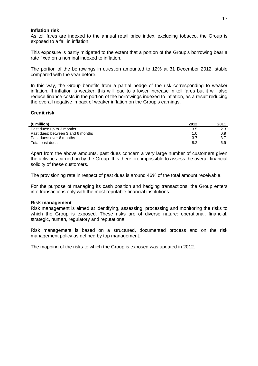#### **Inflation risk**

As toll fares are indexed to the annual retail price index, excluding tobacco, the Group is exposed to a fall in inflation.

This exposure is partly mitigated to the extent that a portion of the Group's borrowing bear a rate fixed on a nominal indexed to inflation.

The portion of the borrowings in question amounted to 12% at 31 December 2012, stable compared with the year before.

In this way, the Group benefits from a partial hedge of the risk corresponding to weaker inflation. If inflation is weaker, this will lead to a lower increase in toll fares but it will also reduce finance costs in the portion of the borrowings indexed to inflation, as a result reducing the overall negative impact of weaker inflation on the Group's earnings.

#### **Credit risk**

| $(\in$ million)                   | 2012 | 2011 |
|-----------------------------------|------|------|
| Past dues: up to 3 months         | 3.5  | 2.3  |
| Past dues: between 3 and 6 months | 1.0  | 0.9  |
| Past dues: over 6 months          | 3.7  | 3.7  |
| Total past dues                   | 8.2  | 6.9  |

Apart from the above amounts, past dues concern a very large number of customers given the activities carried on by the Group. It is therefore impossible to assess the overall financial solidity of these customers.

The provisioning rate in respect of past dues is around 46% of the total amount receivable.

For the purpose of managing its cash position and hedging transactions, the Group enters into transactions only with the most reputable financial institutions.

#### **Risk management**

Risk management is aimed at identifying, assessing, processing and monitoring the risks to which the Group is exposed. These risks are of diverse nature: operational, financial, strategic, human, regulatory and reputational.

Risk management is based on a structured, documented process and on the risk management policy as defined by top management.

The mapping of the risks to which the Group is exposed was updated in 2012.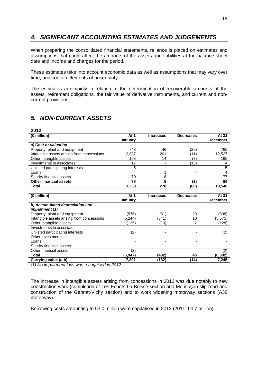# **4. SIGNIFICANT ACCOUNTING ESTIMATES AND JUDGEMENTS**

When preparing the consolidated financial statements, reliance is placed on estimates and assumptions that could affect the amounts of the assets and liabilities at the balance sheet date and income and charges for the period.

These estimates take into account economic data as well as assumptions that may vary over time, and contain elements of uncertainty.

The estimates are mainly in relation to the determination of recoverable amounts of the assets, retirement obligations, the fair value of derivative instruments, and current and noncurrent provisions.

# **5. NON-CURRENT ASSETS**

| 2012                                       |          |                  |                          |                 |
|--------------------------------------------|----------|------------------|--------------------------|-----------------|
| (€ million)                                | At 1     | <b>Increases</b> | <b>Decreases</b>         | At 31           |
|                                            | January  |                  |                          | <b>December</b> |
| a) Cost or valuation                       |          |                  |                          |                 |
| Property, plant and equipment              | 748      | 46               | (29)                     | 765             |
| Intangible assets arising from concessions | 12.337   | 201              | (11)                     | 12,527          |
| Other intangible assets                    | 158      | 14               | (7                       | 165             |
| Investments in associates                  | 17       |                  | (13)                     | 4               |
| Unlisted participating interests           | 5        |                  |                          | 5               |
| Loans                                      | 4        |                  |                          | 4               |
| Sundry financial assets                    | 70       | 8                |                          | 77              |
| <b>Other financial assets</b>              | 78       | 8                | (1)                      | 86              |
| Total                                      | 13,338   | 270              | (60)                     | 13,548          |
|                                            |          |                  |                          |                 |
| (€ million)                                | At 1     | <b>Increases</b> | <b>Decreases</b>         | At 31           |
|                                            | January  |                  |                          | <b>December</b> |
| b) Accumulated depreciation and            |          |                  |                          |                 |
| <i>impairment (1)</i>                      |          |                  |                          |                 |
| Property, plant and equipment              | (576)    | (51)             | 29                       | (598)           |
| Intangible assets arising from concessions | (5, 244) | (341)            | 10                       | (5, 575)        |
| Other intangible assets                    | (125)    | (10)             | 7                        | (128)           |
| Investments in associates                  |          |                  | $\overline{\phantom{a}}$ |                 |
| Unlisted participating interests           | (2)      |                  |                          | (2)             |
| Other investments                          |          |                  |                          |                 |
| Loans                                      |          |                  |                          |                 |
| Sundry financial assets                    |          |                  |                          |                 |
| Other financial assets                     | (2)      |                  |                          | (2)             |
| Total                                      | (5, 947) | (402)            | 46                       | (6, 302)        |
| Carrying value (a-b)                       | 7,391    | (132)            | (14)                     | 7,245           |

(1) No impairment loss was recognised in 2012.

The increase in intangible assets arising from concessions in 2012 was due notably to new construction work (completion of Les Echets-La Boisse section and Montluçon slip road and construction of the Gannat-Vichy section) and to work widening motorway sections (A36 motorway).

Borrowing costs amounting to  $\epsilon$ 3.0 million were capitalised in 2012 (2011:  $\epsilon$ 4.7 million).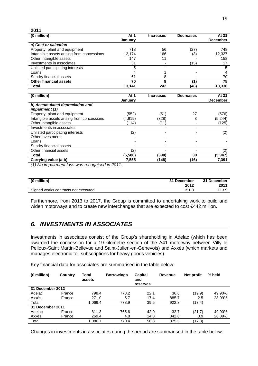| 2011                                                                           |                                    |                  |                  |                 |
|--------------------------------------------------------------------------------|------------------------------------|------------------|------------------|-----------------|
| $(\in$ million)                                                                | At 1                               | <b>Increases</b> | <b>Decreases</b> | At 31           |
|                                                                                | January                            |                  |                  | <b>December</b> |
| a) Cost or valuation                                                           |                                    |                  |                  |                 |
| Property, plant and equipment                                                  | 718                                | 56               | (27)             | 748             |
| Intangible assets arising from concessions                                     | 12.174                             | 166              | (3)              | 12,337          |
| Other intangible assets                                                        | 147                                | 11               |                  | 158             |
| Investments in associates                                                      | 31                                 |                  | (15)             | 17              |
| Unlisted participating interests                                               | 5                                  |                  |                  | 5               |
| Loans                                                                          | 4                                  |                  |                  | 4               |
| Sundry financial assets                                                        | 61                                 | 8                |                  | 70              |
| <b>Other financial assets</b>                                                  | 70                                 | 9                | (1)              | 78              |
| Total                                                                          | 13,141                             | 242              | (46)             | 13,338          |
|                                                                                |                                    |                  |                  |                 |
| $(\in$ million)                                                                | At 1                               | <b>Increases</b> | <b>Decreases</b> | At 31           |
|                                                                                | January                            |                  |                  | <b>December</b> |
| b) Accumulated depreciation and                                                |                                    |                  |                  |                 |
| <i>impairment (1)</i>                                                          |                                    |                  |                  |                 |
| Property, plant and equipment                                                  | (552)                              | (51)             | 27               | (576)           |
| Intangible assets arising from concessions                                     | (4, 919)                           | (328)            | 3                | (5,244)         |
| Other intangible assets                                                        | (114)                              | (11)             |                  | (125)           |
| Investments in associates                                                      |                                    |                  |                  |                 |
| Unlisted participating interests                                               | (2)                                |                  |                  | (2)             |
| Other investments                                                              |                                    |                  |                  |                 |
| Loans                                                                          |                                    |                  |                  |                 |
| Sundry financial assets                                                        |                                    |                  |                  |                 |
| Other financial assets                                                         | (2)                                |                  |                  | (2)             |
| Total                                                                          | (5, 586)                           | (390)            | 30               | (5,947)         |
| Carrying value (a-b)<br>$\overline{\phantom{a}}$<br>$\sqrt{11}$ as $\sqrt{11}$ | 7,555<br>$\mathbf{r}$ $\mathbf{r}$ | (148)            | (16)             | 7,391           |

(1) No impairment loss was recognised in 2011.

| $(\in$ million)                     | 31 December | 31 December |
|-------------------------------------|-------------|-------------|
|                                     | 2012        | 2011        |
| Signed works contracts not executed | 151.5       | 113.9       |

Furthermore, from 2013 to 2017, the Group is committed to undertaking work to build and widen motorways and to create new interchanges that are expected to cost €442 million.

# **6. INVESTMENTS IN ASSOCIATES**

Investments in associates consist of the Group's shareholding in Adelac (which has been awarded the concession for a 19-kilometre section of the A41 motorway between Villy le Pelloux-Saint Martin-Bellevue and Saint-Julien-en-Genevois) and Axxès (which markets and manages electronic toll subscriptions for heavy goods vehicles).

Key financial data for associates are summarised in the table below:

| $(\in$ million)  | Country | Total<br>assets | <b>Borrowings</b> | <b>Capital</b><br>and<br>reserves | Revenue | Net profit | % held |
|------------------|---------|-----------------|-------------------|-----------------------------------|---------|------------|--------|
| 31 December 2012 |         |                 |                   |                                   |         |            |        |
| Adelac           | France  | 798.4           | 773.2             | 22.1                              | 36.6    | (19.9)     | 49.90% |
| Axxès            | France  | 271.0           | 5.7               | 17.4                              | 885.7   | 2.5        | 28.09% |
| Total            |         | 1.069.4         | 778.9             | 39.5                              | 922.3   | (17.4)     |        |
| 31 December 2011 |         |                 |                   |                                   |         |            |        |
| Adelac           | France  | 811.3           | 765.6             | 42.0                              | 32.7    | (21.7)     | 49.90% |
| Axxès            | France  | 269.4           | 4.8               | 14.8                              | 842.8   | 3.9        | 28.09% |
| Total            |         | 1,080.7         | 770.4             | 56.8                              | 875.5   | (17.8)     |        |

Changes in investments in associates during the period are summarised in the table below: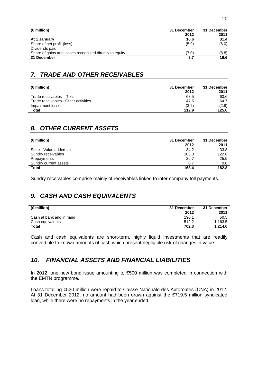| $(\in$ million)                                         | 31 December | 31 December |
|---------------------------------------------------------|-------------|-------------|
|                                                         | 2012        | 2011        |
| At 1 January                                            | 16.6        | 31.4        |
| Share of net profit (loss)                              | (5.9)       | (6.0)       |
| Dividends paid                                          |             |             |
| Share of gains and losses recognized directly to equity | (7.0)       | (8.8)       |
| 31 December                                             | 3.7         | 16.6        |

# **7. TRADE AND OTHER RECEIVABLES**

| $(\in$ million)                      | 31 December<br>2012 | 31 December<br>2011 |
|--------------------------------------|---------------------|---------------------|
| Trade receivables - Tolls            | 68.5                | 63.6                |
| Trade receivables - Other activities | 47.5                | 64.7                |
| Impairment losses                    | (3.2)               | (2.8)               |
| Total                                | 112.9               | 125.6               |

# **8. OTHER CURRENT ASSETS**

| (€ million)             | 31 December | 31 December |
|-------------------------|-------------|-------------|
|                         | 2012        | 2011        |
| State - Value added tax | 34.2        | 33.8        |
| Sundry receivables      | 106.8       | 122.6       |
| Prepayments             | 26.7        | 25.5        |
| Sundry current assets   | 0.7         | 0.8         |
| Total                   | 168.4       | 182.8       |
|                         |             |             |

Sundry receivables comprise mainly of receivables linked to inter-company toll payments.

# **9. CASH AND CASH EQUIVALENTS**

| $(\in$ million)          | 31 December<br>2012 | 31 December<br>2011 |
|--------------------------|---------------------|---------------------|
| Cash at bank and in hand | 190.1               | 50.5                |
| Cash equivalents         | 512.2               | 1.163.5             |
| <b>Total</b>             | 702.3               | 1.214.0             |

Cash and cash equivalents are short-term, highly liquid investments that are readily convertible to known amounts of cash which present negligible risk of changes in value.

# **10. FINANCIAL ASSETS AND FINANCIAL LIABILITIES**

In 2012, one new bond issue amounting to €500 million was completed in connection with the EMTN programme.

Loans totalling €530 million were repaid to Caisse Nationale des Autoroutes (CNA) in 2012. At 31 December 2012, no amount had been drawn against the €719.5 million syndicated loan, while there were no repayments in the year ended.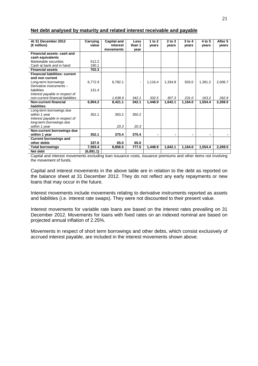| At 31 December 2012                   | Carrying  | <b>Capital and</b> | <b>Less</b> | 1 to $2$ | $2$ to $3$ | $3$ to $4$ | 4 to 5  | After 5 |
|---------------------------------------|-----------|--------------------|-------------|----------|------------|------------|---------|---------|
| $(\in$ million)                       | value     | interest           | than 1      | years    | vears      | vears      | vears   | vears   |
|                                       |           | movements          | vear        |          |            |            |         |         |
| Financial assets: cash and            |           |                    |             |          |            |            |         |         |
| cash equivalents                      |           |                    |             |          |            |            |         |         |
| Marketable securities                 | 512.2     |                    |             |          |            |            |         |         |
| Cash at bank and in hand              | 190.1     |                    |             |          |            |            |         |         |
| <b>Financial assets</b>               | 702.3     |                    |             |          |            |            |         |         |
| <b>Financial liabilities: current</b> |           |                    |             |          |            |            |         |         |
| and non current                       |           |                    |             |          |            |            |         |         |
| Long-term borrowings                  | 6,772.9   | 6,782.1            |             | 1,116.4  | 1,334.8    | 933.0      | 1,391.2 | 2,006.7 |
| Derivative instruments -              |           |                    |             |          |            |            |         |         |
| liabilities                           | 131.4     |                    |             |          |            |            |         |         |
| Interest payable in respect of        |           |                    |             |          |            |            |         |         |
| non-current financial liabilities     |           | 1,638.9            | 342.1       | 332.5    | 307.3      | 231.0      | 163.2   | 262.9   |
| Non-current financial                 | 6,904.2   | 8,421.1            | 342.1       | 1,448.9  | 1,642.1    | 1,164.0    | 1,554.4 | 2,269.5 |
| liabilities                           |           |                    |             |          |            |            |         |         |
| Long-term borrowings due              |           |                    |             |          |            |            |         |         |
| within 1 year                         | 352.1     | 350.2              | 350.2       |          |            |            |         |         |
| Interest payable in respect of        |           |                    |             |          |            |            |         |         |
| long-term borrowings due              |           |                    |             |          |            |            |         |         |
| within 1 year                         |           | 20.3               | 20.3        |          |            |            |         |         |
| Non-current borrowings due            |           |                    |             |          |            |            |         |         |
| within 1 year                         | 352.1     | 370.4              | 370.4       |          |            |            |         |         |
| <b>Current borrowings and</b>         |           |                    |             |          |            |            |         |         |
| other debts                           | 337.0     | 65.0               | 65.0        |          |            |            |         |         |
| <b>Total borrowings</b>               | 7,593.4   | 8,856.5            | 777.5       | 1,448.9  | 1,642.1    | 1,164.0    | 1,554.4 | 2,269.5 |
| Net debt                              | (6,891.1) |                    |             |          |            |            |         |         |

#### **Net debt analysed by maturity and related interest receivable and payable**

Capital and interest movements excluding loan issuance costs, issuance premiums and other items not involving the movement of funds.

Capital and interest movements in the above table are in relation to the debt as reported on the balance sheet at 31 December 2012. They do not reflect any early repayments or new loans that may occur in the future.

Interest movements include movements relating to derivative instruments reported as assets and liabilities (i.e. interest rate swaps). They were not discounted to their present value.

Interest movements for variable rate loans are based on the interest rates prevailing on 31 December 2012. Movements for loans with fixed rates on an indexed nominal are based on projected annual inflation of 2.25%.

Movements in respect of short term borrowings and other debts, which consist exclusively of accrued interest payable, are included in the interest movements shown above.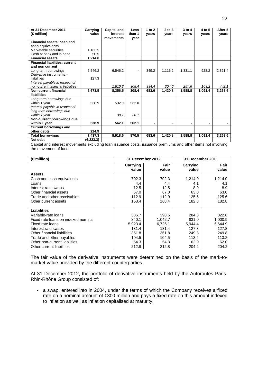| At 31 December 2011                   | Carrying  | <b>Capital and</b> | Less   | 1 to $2$ | $2$ to $3$ | $3$ to $4$ | 4 to 5  | After 5 |
|---------------------------------------|-----------|--------------------|--------|----------|------------|------------|---------|---------|
| $(\in$ million)                       | value     | interest           | than 1 | vears    | vears      | vears      | vears   | vears   |
|                                       |           | movements          | vear   |          |            |            |         |         |
| Financial assets: cash and            |           |                    |        |          |            |            |         |         |
| cash equivalents                      |           |                    |        |          |            |            |         |         |
| Marketable securities                 | 1,163.5   |                    |        |          |            |            |         |         |
| Cash at bank and in hand              | 50.5      |                    |        |          |            |            |         |         |
| <b>Financial assets</b>               | 1,214.0   |                    |        |          |            |            |         |         |
| <b>Financial liabilities: current</b> |           |                    |        |          |            |            |         |         |
| and non current                       |           |                    |        |          |            |            |         |         |
| Long-term borrowings                  | 6,546.2   | 6,546.2            |        | 349.2    | 1,116.2    | 1,331.1    | 928.2   | 2,821.4 |
| Derivative instruments -              |           |                    |        |          |            |            |         |         |
| liabilities                           | 127.3     |                    |        |          |            |            |         |         |
| Interest payable in respect of        |           |                    |        |          |            |            |         |         |
| non-current financial liabilities     |           | 1,810.3            | 308.4  | 334.4    | 304.6      | 257.6      | 163.2   | 442.1   |
| <b>Non-current financial</b>          | 6,673.5   | 8,356.5            | 308.4  | 683.6    | 1,420.8    | 1,588.8    | 1,091.4 | 3,263.6 |
| liabilities                           |           |                    |        |          |            |            |         |         |
| Long-term borrowings due              |           |                    |        |          |            |            |         |         |
| within 1 year                         | 538.9     | 532.0              | 532.0  |          |            |            |         |         |
| Interest payable in respect of        |           |                    |        |          |            |            |         |         |
| long-term borrowings due              |           |                    |        |          |            |            |         |         |
| within 1 year                         |           | 30.1               | 30.1   |          |            |            |         |         |
| Non-current borrowings due            |           |                    |        |          |            |            |         |         |
| within 1 year                         | 538.9     | 562.1              | 562.1  |          |            |            |         |         |
| <b>Current borrowings and</b>         |           |                    |        |          |            |            |         |         |
| other debts                           | 224.9     |                    |        |          |            |            |         |         |
| <b>Total borrowings</b>               | 7,437.3   | 8,918.6            | 870.5  | 683.6    | 1,420.8    | 1,588.8    | 1,091.4 | 3,263.6 |
| Net debt                              | (6,223.3) |                    |        |          |            |            |         |         |

Capital and interest movements excluding loan issuance costs, issuance premiums and other items not involving the movement of funds.

| $(\in$ million)                     |                   | 31 December 2012 | 31 December 2011  |               |
|-------------------------------------|-------------------|------------------|-------------------|---------------|
|                                     | Carrying<br>value | Fair<br>value    | Carrying<br>value | Fair<br>value |
| <b>Assets</b>                       |                   |                  |                   |               |
| Cash and cash equivalents           | 702.3             | 702.3            | 1,214.0           | 1,214.0       |
| Loans                               | 4.4               | 4.4              | 4.1               | 4.1           |
| Interest rate swaps                 | 12.5              | 12.5             | 8.9               | 8.9           |
| Other financial assets              | 67.0              | 67.0             | 63.0              | 63.0          |
| Trade and other receivables         | 112.9             | 112.9            | 125.6             | 125.6         |
| Other current assets                | 168.4             | 168.4            | 182.8             | 182.8         |
|                                     |                   |                  |                   |               |
| <b>Liabilities</b>                  |                   |                  |                   |               |
| Variable-rate loans                 | 336.7             | 398.5            | 284.8             | 322.8         |
| Fixed rate loans on indexed nominal | 840.1             | 1,042.7          | 831.0             | 1,000.9       |
| Fixed rate loans                    | 5,923.4           | 6,726.1          | 5,944.4           | 6,644.9       |
| Interest rate swaps                 | 131.4             | 131.4            | 127.3             | 127.3         |
| Other financial liabilities         | 361.8             | 361.8            | 249.8             | 249.8         |
| Trade and other payables            | 104.5             | 104.5            | 113.2             | 113.2         |
| Other non-current liabilities       | 54.3              | 54.3             | 62.0              | 62.0          |
| Other current liabilities           | 212.8             | 212.8            | 204.2             | 204.2         |

The fair value of the derivative instruments were determined on the basis of the mark-tomarket value provided by the different counterparties.

At 31 December 2012, the portfolio of derivative instruments held by the Autoroutes Paris-Rhin-Rhône Group consisted of:

- a swap, entered into in 2004, under the terms of which the Company receives a fixed rate on a nominal amount of €300 million and pays a fixed rate on this amount indexed to inflation as well as inflation capitalised at maturity;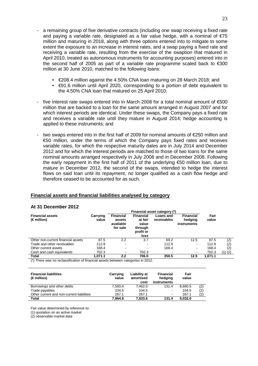- a remaining group of five derivative contracts (including one swap receiving a fixed rate and paying a variable rate, designated as a fair value hedge, with a nominal of  $\epsilon$ 75 million and maturing in 2018, along with three options entered into to mitigate to some extent the exposure to an increase in interest rates, and a swap paying a fixed rate and receiving a variable rate, resulting from the exercise of the swaption that matured in April 2010, treated as autonomous instruments for accounting purposes) entered into in the second half of 2005 as part of a variable rate programme scaled back to  $\epsilon$ 300 million at 30 June 2010, matched to the following loans:
	- €208.4 million against the 4.50% CNA loan maturing on 28 March 2018; and
	- €91.6 million until April 2020, corresponding to a portion of debt equivalent to the 4.50% CNA loan that matured on 25 April 2010;
- five interest rate swaps entered into in March 2008 for a total nominal amount of €500 million that are backed to a loan for the same amount arranged in August 2007 and for which interest periods are identical. Under these swaps, the Company pays a fixed rate and receives a variable rate until they mature in August 2014; hedge accounting is applied to these instruments; and
- two swaps entered into in the first half of 2009 for nominal amounts of €250 million and €50 million, under the terms of which the Company pays fixed rates and receives variable rates, for which the respective maturity dates are in July 2014 and December 2012 and for which the interest periods are matched to those of two loans for the same nominal amounts arranged respectively in July 2008 and in December 2008. Following the early repayment in the first half of 2011 of the underlying €50 million loan, due to mature in December 2012, the second of the swaps, intended to hedge the interest flows on said loan until its repayment, no longer qualified as a cash flow hedge and therefore ceased to be accounted for as such.

#### **Financial assets and financial liabilities analysed by category**

#### **At 31 December 2012**

|                                                 |                   | Financial asset category (*)                        |                                                                      |                          |                                            |               |             |  |
|-------------------------------------------------|-------------------|-----------------------------------------------------|----------------------------------------------------------------------|--------------------------|--------------------------------------------|---------------|-------------|--|
| <b>Financial assets</b><br>$(\epsilon$ million) | Carrying<br>value | <b>Financial</b><br>assets<br>available<br>for sale | <b>Financial</b><br>at fair<br>value<br>through<br>profit or<br>loss | Loans and<br>receivables | <b>Financial</b><br>hedging<br>instruments | Fair<br>value |             |  |
| Other non-current financial assets              | 87.5              | 2.2                                                 | 3.7                                                                  | 69.2                     | 12.5                                       | 87.5          | (2)         |  |
| Trade and other receivables                     | 112.9             | $\overline{\phantom{0}}$                            | ۰                                                                    | 112.9                    | $\blacksquare$                             | 112.9         | (2)         |  |
| Other current assets                            | 168.4             | $\blacksquare$                                      | -                                                                    | 168.4                    |                                            | 168.4         | (2)         |  |
| Cash and cash equivalents                       | 702.3             | $\blacksquare$                                      | 702.3                                                                | $\blacksquare$           | -                                          | 702.3         | $(1)$ $(2)$ |  |
| <b>Total</b>                                    | 1.071.1           | 2.2                                                 | 706.0                                                                | 350.5                    | 12.5                                       | 1.071.1       |             |  |

(\*) There was no reclassification of financial assets between categories in 2012.

| <b>Financial liabilities</b><br>$(\in$ million) | Carrying<br>value | Liability at<br>amortised<br>cost | <b>Financial</b><br>hedging<br>instruments | Fair<br>value |     |
|-------------------------------------------------|-------------------|-----------------------------------|--------------------------------------------|---------------|-----|
| Borrowings and other debts                      | 7.593.4           | 7.462.0                           | 131.4                                      | 8.660.5       | (2) |
| Trade payables                                  | 104.5             | 104.5                             | $\blacksquare$                             | 104.5         | (2) |
| Other current and non-current liabilities       | 267.1             | 267.1                             | $\,$                                       | 267.1         | (2) |
| <b>Total</b>                                    | 7.964.9           | 7.833.6                           | 131.4                                      | 9.032.0       |     |

Fair value determined by reference to:

(1) quotation on an active market

(2) observable market data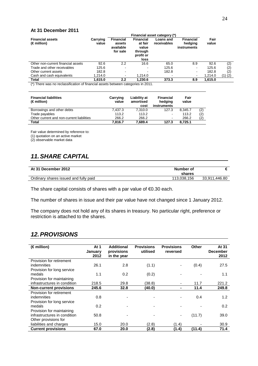#### **At 31 December 2011**

|                                                 |                   | Financial asset category (*)                        |                                                                      |                          |                                            |               |             |
|-------------------------------------------------|-------------------|-----------------------------------------------------|----------------------------------------------------------------------|--------------------------|--------------------------------------------|---------------|-------------|
| <b>Financial assets</b><br>$(\epsilon$ million) | Carrying<br>value | <b>Financial</b><br>assets<br>available<br>for sale | <b>Financial</b><br>at fair<br>value<br>through<br>profit or<br>loss | Loans and<br>receivables | <b>Financial</b><br>hedging<br>instruments | Fair<br>value |             |
| Other non-current financial assets              | 92.6              | 2.2                                                 | 16.6                                                                 | 65.0                     | 8.9                                        | 92.6          | (2)         |
| Trade and other receivables                     | 125.6             | $\overline{\phantom{0}}$                            | $\overline{\phantom{0}}$                                             | 125.6                    | -                                          | 125.6         | (2)         |
| Other current assets                            | 182.8             | $\blacksquare$                                      | $\overline{\phantom{0}}$                                             | 182.8                    | $\blacksquare$                             | 182.8         | (2)         |
| Cash and cash equivalents                       | 1,214.0           | $\blacksquare$                                      | 1,214.0                                                              | $\,$                     | ۰                                          | 1,214.0       | $(1)$ $(2)$ |
| Total                                           | 1,615.0           | 2.2                                                 | 1,230.6                                                              | 373.3                    | 8.9                                        | 1,615.0       |             |

(\*) There was no reclassification of financial assets between categories in 2011.

| <b>Financial liabilities</b><br>$(\epsilon$ million) | Carrying<br>value | Liability at<br>amortised<br>cost | Financial<br>hedging<br>instruments | Fair<br>value |     |
|------------------------------------------------------|-------------------|-----------------------------------|-------------------------------------|---------------|-----|
| Borrowings and other debts                           | 7.437.3           | 7.310.0                           | 127.3                               | 8.345.7       | (2  |
| Trade payables                                       | 113.2             | 113.2                             | $\overline{\phantom{a}}$            | 113.2         | (2) |
| Other current and non-current liabilities            | 266.2             | 266.2                             | $\overline{\phantom{a}}$            | 266.2         | (2  |
| Total                                                | 7.816.7           | 7.689.4                           | 127.3                               | 8.725.1       |     |

Fair value determined by reference to:

(1) quotation on an active market

(2) observable market data

# **11. SHARE CAPITAL**

| At 31 December 2012                   | Number of<br>shares |               |
|---------------------------------------|---------------------|---------------|
| Ordinary shares issued and fully paid | 113.038.156         | 33,911,446.80 |

The share capital consists of shares with a par value of €0.30 each.

The number of shares in issue and their par value have not changed since 1 January 2012.

The company does not hold any of its shares in treasury. No particular right, preference or restriction is attached to the shares.

# **12. PROVISIONS**

| $(\in$ million)               | At 1<br>January<br>2012 | <b>Additional</b><br>provisions<br>in the year | <b>Provisions</b><br>utilised | <b>Provisions</b><br>reversed | Other  | At 31<br><b>December</b><br>2012 |
|-------------------------------|-------------------------|------------------------------------------------|-------------------------------|-------------------------------|--------|----------------------------------|
| Provision for retirement      |                         |                                                |                               |                               |        |                                  |
| indemnities                   | 26.1                    | 2.8                                            | (1.1)                         |                               | (0.4)  | 27.5                             |
| Provision for long service    |                         |                                                |                               |                               |        |                                  |
| medals                        | 1.1                     | 0.2                                            | (0.2)                         |                               |        | 1.1                              |
| Provision for maintaining     |                         |                                                |                               |                               |        |                                  |
| infrastructures in condition  | 218.5                   | 29.8                                           | (38.8)                        |                               | 11.7   | 221.2                            |
| <b>Non-current provisions</b> | 245.6                   | 32.8                                           | (40.0)                        |                               | 11.4   | 249.8                            |
| Provision for retirement      |                         |                                                |                               |                               |        |                                  |
| indemnities                   | 0.8                     |                                                |                               |                               | 0.4    | 1.2                              |
| Provision for long service    |                         |                                                |                               |                               |        |                                  |
| medals                        | 0.2                     |                                                |                               |                               |        | 0.2                              |
| Provision for maintaining     |                         |                                                |                               |                               |        |                                  |
| infrastructures in condition  | 50.8                    |                                                |                               |                               | (11.7) | 39.0                             |
| Other provisions for          |                         |                                                |                               |                               |        |                                  |
| liabilities and charges       | 15.0                    | 20.0                                           | (2.8)                         | (1.4)                         |        | 30.9                             |
| <b>Current provisions</b>     | 67.0                    | 20.0                                           | (2.8)                         | (1.4)                         | (11.4) | 71.4                             |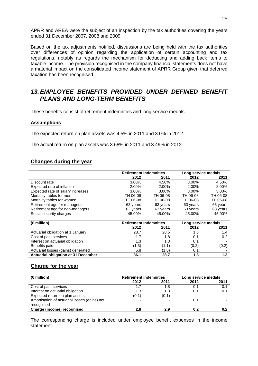APRR and AREA were the subject of an inspection by the tax authorities covering the years ended 31 December 2007, 2008 and 2009.

Based on the tax adjustments notified, discussions are being held with the tax authorities over differences of opinion regarding the application of certain accounting and tax regulations, notably as regards the mechanism for deducting and adding back items to taxable income. The provision recognised in the company financial statements does not have a material impact on the consolidated income statement of APRR Group given that deferred taxation has been recognised.

### **13. EMPLOYEE BENEFITS PROVIDED UNDER DEFINED BENEFIT PLANS AND LONG-TERM BENEFITS**

These benefits consist of retirement indemnities and long service medals.

#### **Assumptions**

The expected return on plan assets was 4.5% in 2011 and 3.0% in 2012.

The actual return on plan assets was 3.68% in 2011 and 3.49% in 2012.

### **Changes during the year**

|                                   | <b>Retirement indemnities</b> |          | Long service medals |          |
|-----------------------------------|-------------------------------|----------|---------------------|----------|
|                                   | 2012                          | 2011     | 2012                | 2011     |
| Discount rate                     | $3.00\%$                      | 4.50%    | $3.00\%$            | 4.50%    |
| Expected rate of inflation        | 2.00%                         | $2.00\%$ | $2.00\%$            | 2.00%    |
| Expected rate of salary increases | 3.00%                         | $3.00\%$ | $3.00\%$            | 3.00%    |
| Mortality tables for men          | TH 06-08                      | TH 06-08 | TH 06-08            | TH 06-08 |
| Mortality tables for women        | TF 06-08                      | TF 06-08 | TF 06-08            | TF 06-08 |
| Retirement age for managers       | 63 years                      | 63 years | 63 years            | 63 years |
| Retirement age for non-managers   | 63 years                      | 63 years | 63 years            | 63 years |
| Social security charges           | 45.00%                        | 45.00%   | 45.00%              | 45.00%   |

| $(\in$ million)                            | <b>Retirement indemnities</b> |       | Long service medals |       |
|--------------------------------------------|-------------------------------|-------|---------------------|-------|
|                                            | 2012                          | 2011  | 2012                | 2011  |
| Actuarial obligation at 1 January          | 28.7                          | 28.5  | 1.3                 | 1.4   |
| Cost of past services                      | 1.7                           | 1.8   | 0.1                 | 0.2   |
| Interest on actuarial obligation           | 1.3                           | 1.3   | 0.1                 |       |
| Benefits paid                              | (1.3)                         | (1.1) | (0.2)               | (0.2) |
| Actuarial losses (gains) generated         | 5.8                           | (1.8) | 0.1                 |       |
| <b>Actuarial obligation at 31 December</b> | 36.1                          | 28.7  | 1.3                 | 1.3   |

### **Charge for the year**

| <b>Retirement indemnities</b> |       | Long service medals |      |
|-------------------------------|-------|---------------------|------|
| 2012                          | 2011  | 2012                | 2011 |
| 1.7                           | 1.8   | 0.1                 | 0.1  |
| 1.3                           | 1.3   | 0.1                 | 0.1  |
| (0.1)                         | (0.1) |                     |      |
|                               |       | 0.1                 |      |
|                               |       |                     |      |
| 2.8                           | 2.9   | 0.2                 |      |
|                               |       |                     |      |

The corresponding charge is included under employee benefit expenses in the income statement.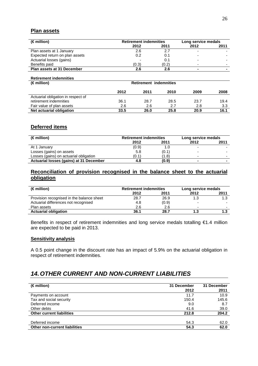#### **Plan assets**

| $(\in$ million)                | <b>Retirement indemnities</b> |       | Long service medals |      |
|--------------------------------|-------------------------------|-------|---------------------|------|
|                                | 2012                          | 2011  | 2012                | 2011 |
| Plan assets at 1 January       | 2.6                           |       |                     |      |
| Expected return on plan assets | 0.2                           | 0.1   |                     |      |
| Actuarial losses (gains)       |                               | 0.1   |                     |      |
| Benefits paid                  | (0.3)                         | (0.2) |                     |      |
| Plan assets at 31 December     | 2.6                           | 2.6   |                     | -    |

#### **Retirement indemnities**

| $(\in$ million)                    | <b>Retirement indemnities</b> |      |      |      |      |
|------------------------------------|-------------------------------|------|------|------|------|
|                                    | 2012                          | 2011 | 2010 | 2009 | 2008 |
| Actuarial obligation in respect of |                               |      |      |      |      |
| retirement indemnities             | 36.1                          | 28.7 | 28.5 | 23.7 | 19.4 |
| Fair value of plan assets          | 2.6                           | 2.6  | 2.7  | 2.8  | 3.3  |
| Net actuarial obligation           | 33.5                          | 26.0 | 25.8 | 20.9 | 16.1 |

### **Deferred items**

| $(\in$ million)                         | <b>Retirement indemnities</b> |       | Long service medals |      |
|-----------------------------------------|-------------------------------|-------|---------------------|------|
|                                         | 2012                          | 2011  | 2012                | 2011 |
| At 1 January                            | (0.9)                         | 1.0   |                     |      |
| Losses (gains) on assets                | 5.8                           | (0.1) |                     |      |
| Losses (gains) on actuarial obligation  | (0.1)                         | (1.8) |                     | -    |
| Actuarial losses (gains) at 31 December | 4.8                           | (0.9) |                     |      |

### **Reconciliation of provision recognised in the balance sheet to the actuarial obligation**

| $(\in$ million)                           | <b>Retirement indemnities</b> |       |      |      | Long service medals |  |
|-------------------------------------------|-------------------------------|-------|------|------|---------------------|--|
|                                           | 2012                          | 2011  | 2012 | 2011 |                     |  |
| Provision recognised in the balance sheet | 28.7                          | 26.9  | 1.3  |      |                     |  |
| Actuarial differences not recognised      | 4.8                           | (0.9) |      |      |                     |  |
| Plan assets                               | 2.6                           | 2.6   | -    | -    |                     |  |
| <b>Actuarial obligation</b>               | 36.1                          | 28.7  | 1.3  |      |                     |  |

Benefits in respect of retirement indemnities and long service medals totalling €1.4 million are expected to be paid in 2013.

#### **Sensitivity analysis**

A 0.5 point change in the discount rate has an impact of 5.9% on the actuarial obligation in respect of retirement indemnities.

# **14. OTHER CURRENT AND NON-CURRENT LIABILITIES**

| $(\in$ million)                      | 31 December | 31 December |
|--------------------------------------|-------------|-------------|
|                                      | 2012        | 2011        |
| Payments on account                  | 11.7        | 10.9        |
| Tax and social security              | 150.4       | 145.6       |
| Deferred income                      | 9.0         | 8.7         |
| Other debts                          | 41.6        | 39.0        |
| <b>Other current liabilities</b>     | 212.8       | 204.2       |
|                                      |             |             |
| Deferred income                      | 54.3        | 62.0        |
| <b>Other non-current liabilities</b> | 54.3        | 62.0        |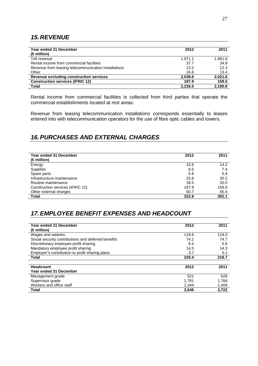# **15. REVENUE**

| Year ended 31 December                               | 2012    | 2011    |
|------------------------------------------------------|---------|---------|
| $(\in$ million)                                      |         |         |
| Toll revenue                                         | 1.971.1 | 1,961.0 |
| Rental income from commercial facilities             | 37.7    | 34.9    |
| Revenue from leasing telecommunication installations | 13.2    | 12.3    |
| Other                                                | 16.6    | 13.4    |
| Revenue excluding construction services              | 2,038.6 | 2.021.6 |
| <b>Construction services (IFRIC 12)</b>              | 187.9   | 159.0   |
| <b>Total</b>                                         | 2.226.5 | 2.180.6 |

Rental income from commercial facilities is collected from third parties that operate the commercial establishments located at rest areas.

Revenue from leasing telecommunication installations corresponds essentially to leases entered into with telecommunication operators for the use of fibre optic cables and towers.

# **16. PURCHASES AND EXTERNAL CHARGES**

| Year ended 31 December<br>$(\in$ million) | 2012  | 2011  |
|-------------------------------------------|-------|-------|
| Energy                                    | 15.6  | 14.2  |
| Supplies                                  | 8.5   | 7.4   |
| Spare parts                               | 5.8   | 5.9   |
| Infrastructure maintenance                | 25.8  | 30.2  |
| Routine maintenance                       | 18.5  | 20.0  |
| Construction services (IFRIC 12)          | 187.9 | 159.0 |
| Other external charges                    | 60.7  | 65.4  |
| <b>Total</b>                              | 322.8 | 302.1 |

# **17. EMPLOYEE BENEFIT EXPENSES AND HEADCOUNT**

| Year ended 31 December<br>$(\in$ million)           | 2012  | 2011  |
|-----------------------------------------------------|-------|-------|
| Wages and salaries                                  | 118.6 | 119.0 |
| Social security contributions and deferred benefits | 74.2  | 74.7  |
| Discretionary employee profit sharing               | 9.4   | 5.6   |
| Mandatory employee profit sharing                   | 14.5  | 14.3  |
| Employer's contribution to profit sharing plans     | 3.7   | 5.1   |
| <b>Total</b>                                        | 220.4 | 218.7 |
|                                                     |       |       |
| Headcount                                           | 2012  | 2011  |
| Year ended 31 December                              |       |       |
| Management grade                                    | 521   | 529   |
| Supervisor grade                                    | 1,781 | 1.784 |
| Workers and office staff                            | 1,344 | 1.409 |
| Total                                               | 3,646 | 3,722 |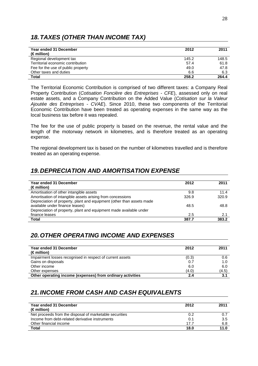# **18. TAXES (OTHER THAN INCOME TAX)**

| Year ended 31 December             | 2012  | 2011  |
|------------------------------------|-------|-------|
| $(\epsilon$ million)               |       |       |
| Regional development tax           | 145.2 | 148.5 |
| Territorial economic contribution  | 57.4  | 61.8  |
| Fee for the use of public property | 49.0  | 47.8  |
| Other taxes and duties             | 6.6   | 6.3   |
| Total                              | 258.2 | 264.4 |

The Territorial Economic Contribution is comprised of two different taxes: a Company Real Property Contribution (Cotisation Foncière des Entreprises - CFE), assessed only on real estate assets, and a Company Contribution on the Added Value (Cotisation sur la Valeur Ajoutée des Entreprises - CVAE). Since 2010, these two components of the Territorial Economic Contribution have been treated as operating expenses in the same way as the local business tax before it was repealed.

The fee for the use of public property is based on the revenue, the rental value and the length of the motorway network in kilometres, and is therefore treated as an operating expense.

The regional development tax is based on the number of kilometres travelled and is therefore treated as an operating expense.

# **19. DEPRECIATION AND AMORTISATION EXPENSE**

| Year ended 31 December                                                | 2012  | 2011  |
|-----------------------------------------------------------------------|-------|-------|
| $(\in$ million)                                                       |       |       |
| Amortisation of other intangible assets                               | 9.8   | 11.4  |
| Amortisation of intangible assets arising from concessions            | 326.9 | 320.9 |
| Depreciation of property, plant and equipment (other than assets made |       |       |
| available under finance leases)                                       | 48.5  | 48.8  |
| Depreciation of property, plant and equipment made available under    |       |       |
| finance leases                                                        | 2.5   | 2.1   |
| <b>Total</b>                                                          | 387.7 | 383.2 |

# **20. OTHER OPERATING INCOME AND EXPENSES**

| Year ended 31 December<br>$(\epsilon$ million)             | 2012  | 2011  |
|------------------------------------------------------------|-------|-------|
| Impairment losses recognised in respect of current assets  | (0.3) | 0.6   |
| Gains on disposals                                         | 0.7   | 1.0   |
| Other income                                               | 6.0   | 6.0   |
| Other expenses                                             | (4.0) | (4.5) |
| Other operating income (expenses) from ordinary activities | 2.4   | 3.1   |

# **21. INCOME FROM CASH AND CASH EQUIVALENTS**

| Year ended 31 December<br>$(\epsilon$ million)          | 2012 | 2011 |
|---------------------------------------------------------|------|------|
| Net proceeds from the disposal of marketable securities | 0.2  |      |
| Income from debt-related derivative instruments         | 0.1  | 3.5  |
| Other financial income                                  | 17.7 | 6.8  |
| <b>Total</b>                                            | 18.0 | 11.0 |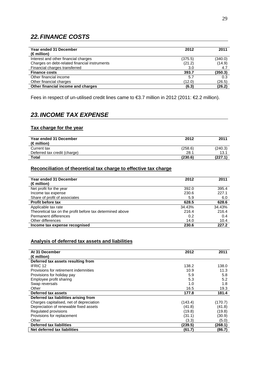# **22. FINANCE COSTS**

| Year ended 31 December<br>$(\in$ million)     | 2012    | 2011    |
|-----------------------------------------------|---------|---------|
| Interest and other financial charges          | (375.5) | (340.0) |
| Charges on debt-related financial instruments | (21.2)  | (14.9)  |
| Financial charges transferred                 | 3.0     | 4.7     |
| <b>Finance costs</b>                          | 393.7   | (350.3) |
| Other financial income                        | 5.7     | 0.3     |
| Other financial charges                       | (12.0)  | (26.5)  |
| Other financial income and charges            | (6.3)   | (26.2)  |

Fees in respect of un-utilised credit lines came to €3.7 million in 2012 (2011: €2.2 million).

# **23. INCOME TAX EXPENSE**

#### **Tax charge for the year**

| Year ended 31 December<br>$(\epsilon$ million) | 2012    | 2011    |
|------------------------------------------------|---------|---------|
| Current tax                                    | (258.6) | (240.3) |
| Deferred tax credit (charge)                   | 28.1    | 13.1    |
| Total                                          | (230.6) | (227.1) |

#### **Reconciliation of theoretical tax charge to effective tax charge**

| Year ended 31 December<br>$(\epsilon$ million)            | 2012   | 2011   |
|-----------------------------------------------------------|--------|--------|
| Net profit for the year                                   | 392.0  | 395.4  |
| Income tax expense                                        | 230.6  | 227.1  |
| Share of profit of associates                             | 5.9    | 6.0    |
| <b>Profit before tax</b>                                  | 628.5  | 628.6  |
| Applicable tax rate                                       | 34.43% | 34.43% |
| Theoretical tax on the profit before tax determined above | 216.4  | 216.4  |
| Permanent differences                                     | 0.2    | 0.4    |
| Other differences                                         | 14.0   | 10.4   |
| Income tax expense recognised                             | 230.6  | 227.2  |

### **Analysis of deferred tax assets and liabilities**

| At 31 December                           | 2012    | 2011    |
|------------------------------------------|---------|---------|
| $(\in$ million)                          |         |         |
| Deferred tax assets resulting from       |         |         |
| <b>IFRIC 12</b>                          | 138.2   | 138.0   |
| Provisions for retirement indemnities    | 10.9    | 11.3    |
| Provisions for holiday pay               | 5.9     | 5.8     |
| Employee profit sharing                  | 5.3     | 5.2     |
| Swap reversals                           | 1.0     | 1.8     |
| Other                                    | 16.5    | 19.3    |
| Deferred tax assets                      | 177.8   | 181.4   |
| Deferred tax liabilities arising from    |         |         |
| Charges capitalised, net of depreciation | (143.4) | (170.7) |
| Depreciation of renewable fixed assets   | (41.8)  | (41.8)  |
| Regulated provisions                     | (19.8)  | (19.8)  |
| Provisions for replacement               | (31.1)  | (30.9)  |
| Other                                    | (3.3)   | (5.0)   |
| <b>Deferred tax liabilities</b>          | (239.5) | (268.1) |
| Net deferred tax liabilities             | (61.7)  | (86.7)  |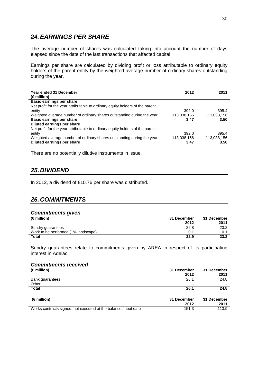# **24. EARNINGS PER SHARE**

The average number of shares was calculated taking into account the number of days elapsed since the date of the last transactions that affected capital.

Earnings per share are calculated by dividing profit or loss attributable to ordinary equity holders of the parent entity by the weighted average number of ordinary shares outstanding during the year.

| Year ended 31 December                                                        | 2012        | 2011        |
|-------------------------------------------------------------------------------|-------------|-------------|
| (€ million)                                                                   |             |             |
| Basic earnings per share                                                      |             |             |
| Net profit for the year attributable to ordinary equity holders of the parent |             |             |
| entity                                                                        | 392.0       | 395.4       |
| Weighted average number of ordinary shares outstanding during the year        | 113,038,156 | 113,038,156 |
| Basic earnings per share                                                      | 3.47        | 3.50        |
| Diluted earnings per share                                                    |             |             |
| Net profit for the year attributable to ordinary equity holders of the parent |             |             |
| entity                                                                        | 392.0       | 395.4       |
| Weighted average number of ordinary shares outstanding during the year        | 113,038,156 | 113,038,156 |
| Diluted earnings per share                                                    | 3.47        | 3.50        |

There are no potentially dilutive instruments in issue.

# **25. DIVIDEND**

In 2012, a dividend of €10.76 per share was distributed.

# **26. COMMITMENTS**

#### **Commitments given**

| $(\in$ million)                     | 31 December<br>2012 | 31 December<br>2011 |
|-------------------------------------|---------------------|---------------------|
| Sundry guarantees                   | 22.8                | 23.2                |
| Work to be performed (1% landscape) | 0.1                 | 0.1                 |
| <b>Total</b>                        | 22.9                | 23.3                |

Sundry guarantees relate to commitments given by AREA in respect of its participating interest in Adelac.

#### **Commitments received**

| $(\in$ million)                                                | 31 December<br>2012 | 31 December<br>2011 |
|----------------------------------------------------------------|---------------------|---------------------|
| Bank guarantees                                                | 26.1                | 24.8                |
| Other                                                          |                     |                     |
| <b>Total</b>                                                   | 26.1                | 24.8                |
|                                                                |                     |                     |
| $(\in$ million)                                                | 31 December         | 31 December         |
|                                                                | 2012                | 2011                |
| Works contracts signed, not executed at the balance sheet date | 151.3               | 113.9               |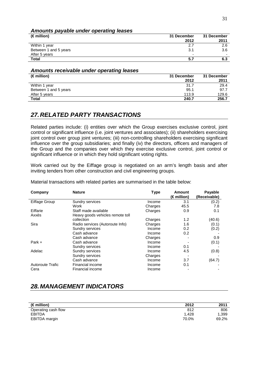### **Amounts payable under operating leases**

| $(\in$ million)       | 31 December              | 31 December |
|-----------------------|--------------------------|-------------|
|                       | 2012                     | 2011        |
| Within 1 year         | 2.7                      | 2.6         |
| Between 1 and 5 years | 3.1                      | 3.6         |
| After 5 years         | $\overline{\phantom{0}}$ | -           |
| <b>Total</b>          | 5.7                      | 6.3         |

#### **Amounts receivable under operating leases**

| $(\in$ million)       | 31 December<br>2012 | 31 December<br>2011 |
|-----------------------|---------------------|---------------------|
| Within 1 year         | 31.7                | 29.4                |
| Between 1 and 5 years | 95.1                | 97.7                |
| After 5 years         | 113.9               | 129.6               |
| Total                 | 240.7               | 256.7               |

# **27. RELATED PARTY TRANSACTIONS**

Related parties include: (i) entities over which the Group exercises exclusive control, joint control or significant influence (i.e. joint ventures and associates); (ii) shareholders exercising joint control over group joint ventures; (iii) non-controlling shareholders exercising significant influence over the group subsidiaries; and finally (iv) the directors, officers and managers of the Group and the companies over which they exercise exclusive control, joint control or significant influence or in which they hold significant voting rights.

Work carried out by the Eiffage group is negotiated on an arm's length basis and after inviting tenders from other construction and civil engineering groups.

| Company          | <b>Nature</b>                    | <b>Type</b> | Amount<br>(€ million) | Payable<br>(Receivable) |
|------------------|----------------------------------|-------------|-----------------------|-------------------------|
| Eiffage Group    | Sundry services                  | Income      | 3.1                   | (0.2)                   |
|                  | Work                             | Charges     | 45.5                  | 7.8                     |
| Eiffarie         | Staff made available             | Charges     | 0.9                   | 0.1                     |
| Axxès            | Heavy goods vehicles remote toll |             |                       |                         |
|                  | collection                       | Charges     | 1.2                   | (40.6)                  |
| Sira             | Radio services (Autoroute Info)  | Charges     | 1.6                   | (0.1)                   |
|                  | Sundry services                  | Income      | 0.2                   | (0.2)                   |
|                  | Cash advance                     | Income      | 0.2                   |                         |
|                  | Cash advance                     | Charges     |                       | 0.9                     |
| Park +           | Cash advance                     | Income      |                       | (0.1)                   |
|                  | Sundry services                  | Income      | 0.1                   |                         |
| Adelac           | <b>Sundry services</b>           | Income      | 4.5                   | (0.8)                   |
|                  | Sundry services                  | Charges     |                       |                         |
|                  | Cash advance                     | Income      | 3.7                   | (64.7)                  |
| Autoroute Trafic | Financial income                 | Income      | 0.1                   |                         |
| Cera             | Financial income                 | Income      |                       |                         |

Material transactions with related parties are summarised in the table below:

# **28. MANAGEMENT INDICATORS**

| (€ million)         | 2012  | 2011  |
|---------------------|-------|-------|
| Operating cash flow | 812   | 806   |
| <b>EBITDA</b>       | 1.428 | 1.399 |
| EBITDA margin       | 70.0% | 69.2% |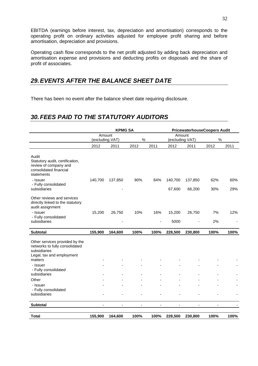EBITDA (earnings before interest, tax, depreciation and amortisation) corresponds to the operating profit on ordinary activities adjusted for employee profit sharing and before amortisation, depreciation and provisions.

Operating cash flow corresponds to the net profit adjusted by adding back depreciation and amortisation expense and provisions and deducting profits on disposals and the share of profit of associates.

# **29. EVENTS AFTER THE BALANCE SHEET DATE**

There has been no event after the balance sheet date requiring disclosure.

# **30. FEES PAID TO THE STATUTORY AUDITORS**

|                                                                                                                          | <b>KPMG SA</b>            |         |      |                | <b>PricewaterhouseCoopers Audit</b> |         |      |      |
|--------------------------------------------------------------------------------------------------------------------------|---------------------------|---------|------|----------------|-------------------------------------|---------|------|------|
|                                                                                                                          | Amount<br>(excluding VAT) |         | $\%$ |                | Amount<br>(excluding VAT)           |         | $\%$ |      |
|                                                                                                                          | 2012                      | 2011    | 2012 | 2011           | 2012                                | 2011    | 2012 | 2011 |
| Audit<br>Statutory audit, certification,<br>review of company and<br>consolidated financial<br>statements                |                           |         |      |                |                                     |         |      |      |
| - Issuer                                                                                                                 | 140,700                   | 137,850 | 90%  | 84%            | 140,700                             | 137,850 | 62%  | 60%  |
| - Fully consolidated<br>subsidiaries                                                                                     |                           |         |      |                | 67,600                              | 66,200  | 30%  | 29%  |
| Other reviews and services<br>directly linked to the statutory<br>audit assignment                                       |                           |         |      |                |                                     |         |      |      |
| - Issuer<br>- Fully consolidated                                                                                         | 15,200                    | 26,750  | 10%  | 16%            | 15,200                              | 26,750  | 7%   | 12%  |
| subsidiaries                                                                                                             |                           |         |      | $\blacksquare$ | 5000                                |         | 2%   |      |
| Subtotal                                                                                                                 | 155,900                   | 164,600 | 100% | 100%           | 228,500                             | 230,800 | 100% | 100% |
| Other services provided by the<br>networks to fully consolidated<br>subsidiaries<br>Legal, tax and employment<br>matters |                           |         |      |                |                                     |         |      |      |
| - Issuer                                                                                                                 |                           |         |      |                |                                     |         |      |      |
| - Fully consolidated<br>subsidiaries                                                                                     |                           |         |      |                |                                     |         |      |      |
| Other                                                                                                                    |                           |         |      |                |                                     |         |      |      |
| - Issuer<br>- Fully consolidated<br>subsidiaries                                                                         |                           |         |      |                |                                     |         |      |      |
| Subtotal                                                                                                                 | ä,                        |         |      |                | $\overline{\phantom{a}}$            | ä,      |      |      |
| <b>Total</b>                                                                                                             | 155,900                   | 164,600 | 100% | 100%           | 228,500                             | 230,800 | 100% | 100% |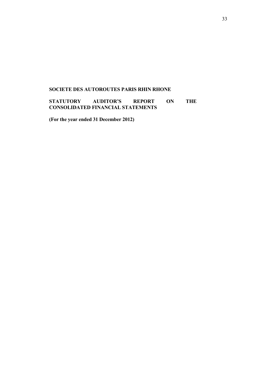### **SOCIETE DES AUTOROUTES PARIS RHIN RHONE**

**STATUTORY AUDITOR'S REPORT ON THE CONSOLIDATED FINANCIAL STATEMENTS**

**(For the year ended 31 December 2012)**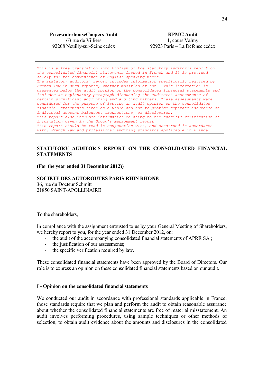**PricewaterhouseCoopers Audit** 63 rue de Villiers 92208 Neuilly-sur-Seine cedex

*This is a free translation into English of the statutory auditor's report on the consolidated financial statements issued in French and it is provided solely for the convenience of English-speaking users. The statutory auditors' report includes information specifically required by French law in such reports, whether modified or not. This information is presented below the audit opinion on the consolidated financial statements and includes an explanatory paragraph discussing the auditors' assessments of certain significant accounting and auditing matters. These assessments were considered for the purpose of issuing an audit opinion on the consolidated financial statements taken as a whole and not to provide separate assurance on individual account balances, transactions, or disclosures. This report also includes information relating to the specific verification of information given in the Group's management report. This report should be read in conjunction with, and construed in accordance with, French law and professional auditing standards applicable in France.* 

### **STATUTORY AUDITOR'S REPORT ON THE CONSOLIDATED FINANCIAL STATEMENTS**

#### **(For the year ended 31 December 2012))**

#### **SOCIETE DES AUTOROUTES PARIS RHIN RHONE**

36, rue du Docteur Schmitt 21850 SAINT-APOLLINAIRE

To the shareholders,

In compliance with the assignment entrusted to us by your General Meeting of Shareholders, we hereby report to you, for the year ended 31 December 2012, on:

- the audit of the accompanying consolidated financial statements of APRR SA;
- the justification of our assessments;
- the specific verification required by law.

These consolidated financial statements have been approved by the Board of Directors. Our role is to express an opinion on these consolidated financial statements based on our audit.

#### **I - Opinion on the consolidated financial statements**

We conducted our audit in accordance with professional standards applicable in France; those standards require that we plan and perform the audit to obtain reasonable assurance about whether the consolidated financial statements are free of material misstatement. An audit involves performing procedures, using sample techniques or other methods of selection, to obtain audit evidence about the amounts and disclosures in the consolidated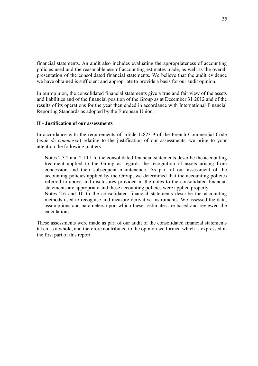financial statements. An audit also includes evaluating the appropriateness of accounting policies used and the reasonableness of accounting estimates made, as well as the overall presentation of the consolidated financial statements. We believe that the audit evidence we have obtained is sufficient and appropriate to provide a basis for our audit opinion.

In our opinion, the consolidated financial statements give a true and fair view of the assets and liabilities and of the financial position of the Group as at December 31 2012 and of the results of its operations for the year then ended in accordance with International Financial Reporting Standards as adopted by the European Union.

### **II - Justification of our assessments**

In accordance with the requirements of article L.823-9 of the French Commercial Code (*code de commerce*) relating to the justification of our assessments, we bring to your attention the following matters:

- Notes 2.3.2 and 2.10.1 to the consolidated financial statements describe the accounting treatment applied to the Group as regards the recognition of assets arising from concession and their subsequent maintenance. As part of our assessment of the accounting policies applied by the Group, we determined that the accounting policies referred to above and disclosures provided in the notes to the consolidated financial statements are appropriate and these accounting policies were applied properly.
- Notes 2.6 and 10 to the consolidated financial statements describe the accounting methods used to recognise and measure derivative instruments. We assessed the data, assumptions and parameters upon which theses estimates are based and reviewed the calculations.

These assessments were made as part of our audit of the consolidated financial statements taken as a whole, and therefore contributed to the opinion we formed which is expressed in the first part of this report.